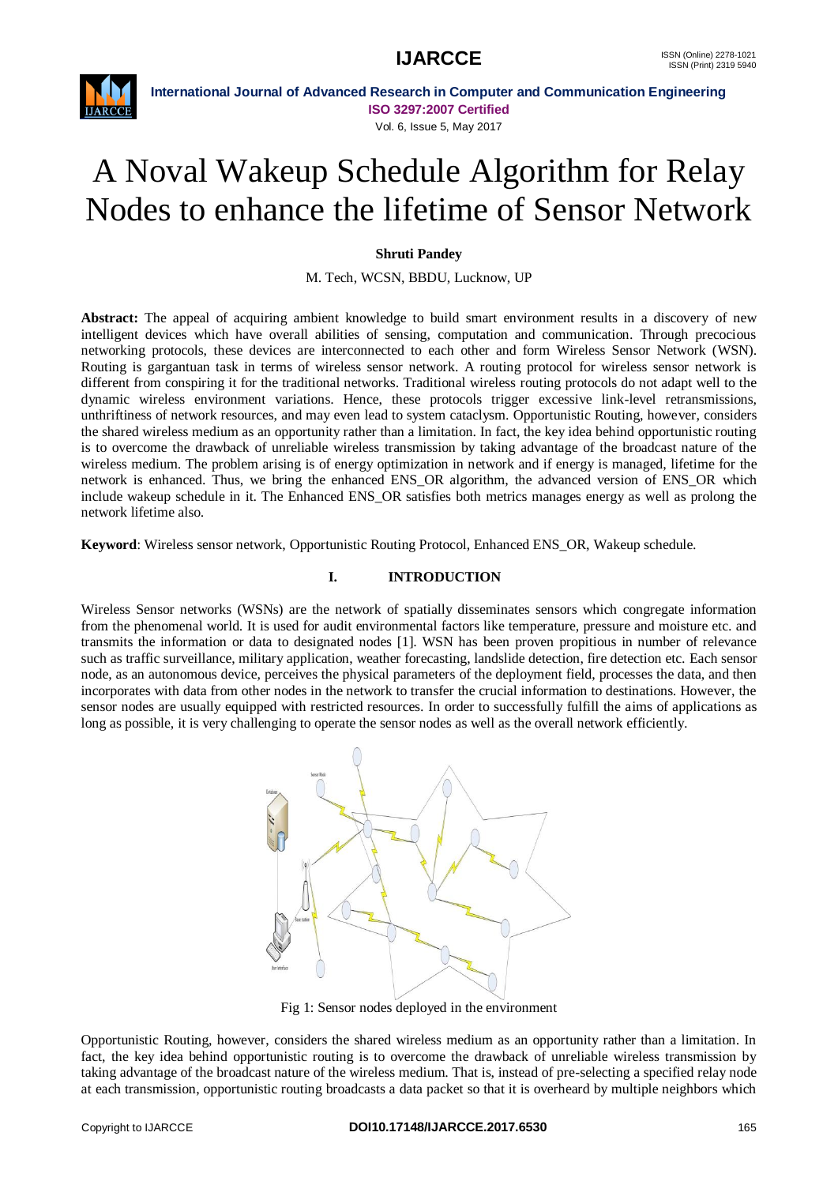

**International Journal of Advanced Research in Computer and Communication Engineering ISO 3297:2007 Certified** Vol. 6, Issue 5, May 2017

# A Noval Wakeup Schedule Algorithm for Relay Nodes to enhance the lifetime of Sensor Network

### **Shruti Pandey**

M. Tech, WCSN, BBDU, Lucknow, UP

**Abstract:** The appeal of acquiring ambient knowledge to build smart environment results in a discovery of new intelligent devices which have overall abilities of sensing, computation and communication. Through precocious networking protocols, these devices are interconnected to each other and form Wireless Sensor Network (WSN). Routing is gargantuan task in terms of wireless sensor network. A routing protocol for wireless sensor network is different from conspiring it for the traditional networks. Traditional wireless routing protocols do not adapt well to the dynamic wireless environment variations. Hence, these protocols trigger excessive link-level retransmissions, unthriftiness of network resources, and may even lead to system cataclysm. Opportunistic Routing, however, considers the shared wireless medium as an opportunity rather than a limitation. In fact, the key idea behind opportunistic routing is to overcome the drawback of unreliable wireless transmission by taking advantage of the broadcast nature of the wireless medium. The problem arising is of energy optimization in network and if energy is managed, lifetime for the network is enhanced. Thus, we bring the enhanced ENS\_OR algorithm, the advanced version of ENS\_OR which include wakeup schedule in it. The Enhanced ENS\_OR satisfies both metrics manages energy as well as prolong the network lifetime also.

**Keyword**: Wireless sensor network, Opportunistic Routing Protocol, Enhanced ENS\_OR, Wakeup schedule.

#### **I. INTRODUCTION**

Wireless Sensor networks (WSNs) are the network of spatially disseminates sensors which congregate information from the phenomenal world. It is used for audit environmental factors like temperature, pressure and moisture etc. and transmits the information or data to designated nodes [1]. WSN has been proven propitious in number of relevance such as traffic surveillance, military application, weather forecasting, landslide detection, fire detection etc. Each sensor node, as an autonomous device, perceives the physical parameters of the deployment field, processes the data, and then incorporates with data from other nodes in the network to transfer the crucial information to destinations. However, the sensor nodes are usually equipped with restricted resources. In order to successfully fulfill the aims of applications as long as possible, it is very challenging to operate the sensor nodes as well as the overall network efficiently.



Fig 1: Sensor nodes deployed in the environment

Opportunistic Routing, however, considers the shared wireless medium as an opportunity rather than a limitation. In fact, the key idea behind opportunistic routing is to overcome the drawback of unreliable wireless transmission by taking advantage of the broadcast nature of the wireless medium. That is, instead of pre-selecting a specified relay node at each transmission, opportunistic routing broadcasts a data packet so that it is overheard by multiple neighbors which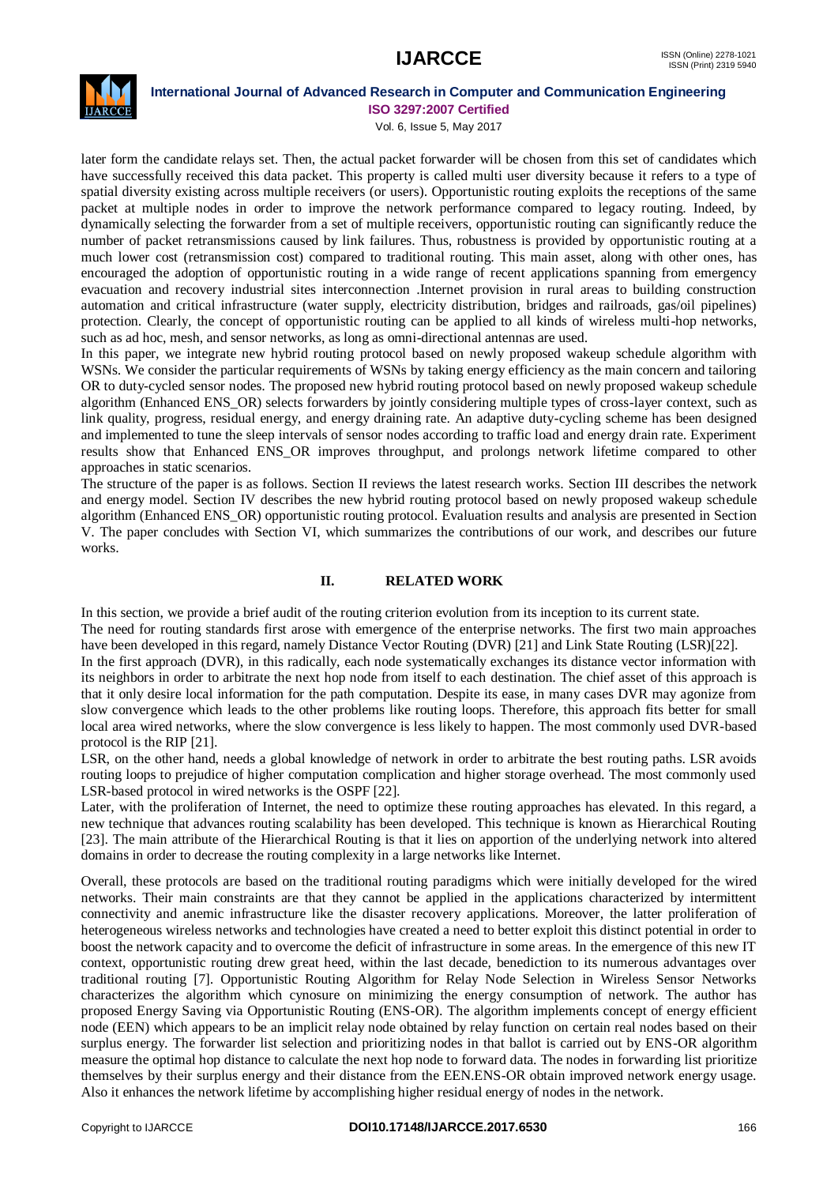# **IJARCCE** ISSN (Online) 2278-1021



#### **International Journal of Advanced Research in Computer and Communication Engineering ISO 3297:2007 Certified**

Vol. 6, Issue 5, May 2017

later form the candidate relays set. Then, the actual packet forwarder will be chosen from this set of candidates which have successfully received this data packet. This property is called multi user diversity because it refers to a type of spatial diversity existing across multiple receivers (or users). Opportunistic routing exploits the receptions of the same packet at multiple nodes in order to improve the network performance compared to legacy routing. Indeed, by dynamically selecting the forwarder from a set of multiple receivers, opportunistic routing can significantly reduce the number of packet retransmissions caused by link failures. Thus, robustness is provided by opportunistic routing at a much lower cost (retransmission cost) compared to traditional routing. This main asset, along with other ones, has encouraged the adoption of opportunistic routing in a wide range of recent applications spanning from emergency evacuation and recovery industrial sites interconnection .Internet provision in rural areas to building construction automation and critical infrastructure (water supply, electricity distribution, bridges and railroads, gas/oil pipelines) protection. Clearly, the concept of opportunistic routing can be applied to all kinds of wireless multi-hop networks, such as ad hoc, mesh, and sensor networks, as long as omni-directional antennas are used.

In this paper, we integrate new hybrid routing protocol based on newly proposed wakeup schedule algorithm with WSNs. We consider the particular requirements of WSNs by taking energy efficiency as the main concern and tailoring OR to duty-cycled sensor nodes. The proposed new hybrid routing protocol based on newly proposed wakeup schedule algorithm (Enhanced ENS\_OR) selects forwarders by jointly considering multiple types of cross-layer context, such as link quality, progress, residual energy, and energy draining rate. An adaptive duty-cycling scheme has been designed and implemented to tune the sleep intervals of sensor nodes according to traffic load and energy drain rate. Experiment results show that Enhanced ENS\_OR improves throughput, and prolongs network lifetime compared to other approaches in static scenarios.

The structure of the paper is as follows. Section II reviews the latest research works. Section III describes the network and energy model. Section IV describes the new hybrid routing protocol based on newly proposed wakeup schedule algorithm (Enhanced ENS\_OR) opportunistic routing protocol. Evaluation results and analysis are presented in Section V. The paper concludes with Section VI, which summarizes the contributions of our work, and describes our future works.

#### **II. RELATED WORK**

In this section, we provide a brief audit of the routing criterion evolution from its inception to its current state.

The need for routing standards first arose with emergence of the enterprise networks. The first two main approaches have been developed in this regard, namely Distance Vector Routing (DVR) [21] and Link State Routing (LSR)[22].

In the first approach (DVR), in this radically, each node systematically exchanges its distance vector information with its neighbors in order to arbitrate the next hop node from itself to each destination. The chief asset of this approach is that it only desire local information for the path computation. Despite its ease, in many cases DVR may agonize from slow convergence which leads to the other problems like routing loops. Therefore, this approach fits better for small local area wired networks, where the slow convergence is less likely to happen. The most commonly used DVR-based protocol is the RIP [21].

LSR, on the other hand, needs a global knowledge of network in order to arbitrate the best routing paths. LSR avoids routing loops to prejudice of higher computation complication and higher storage overhead. The most commonly used LSR-based protocol in wired networks is the OSPF [22].

Later, with the proliferation of Internet, the need to optimize these routing approaches has elevated. In this regard, a new technique that advances routing scalability has been developed. This technique is known as Hierarchical Routing [23]. The main attribute of the Hierarchical Routing is that it lies on apportion of the underlying network into altered domains in order to decrease the routing complexity in a large networks like Internet.

Overall, these protocols are based on the traditional routing paradigms which were initially developed for the wired networks. Their main constraints are that they cannot be applied in the applications characterized by intermittent connectivity and anemic infrastructure like the disaster recovery applications. Moreover, the latter proliferation of heterogeneous wireless networks and technologies have created a need to better exploit this distinct potential in order to boost the network capacity and to overcome the deficit of infrastructure in some areas. In the emergence of this new IT context, opportunistic routing drew great heed, within the last decade, benediction to its numerous advantages over traditional routing [7]. Opportunistic Routing Algorithm for Relay Node Selection in Wireless Sensor Networks characterizes the algorithm which cynosure on minimizing the energy consumption of network. The author has proposed Energy Saving via Opportunistic Routing (ENS-OR). The algorithm implements concept of energy efficient node (EEN) which appears to be an implicit relay node obtained by relay function on certain real nodes based on their surplus energy. The forwarder list selection and prioritizing nodes in that ballot is carried out by ENS-OR algorithm measure the optimal hop distance to calculate the next hop node to forward data. The nodes in forwarding list prioritize themselves by their surplus energy and their distance from the EEN.ENS-OR obtain improved network energy usage. Also it enhances the network lifetime by accomplishing higher residual energy of nodes in the network.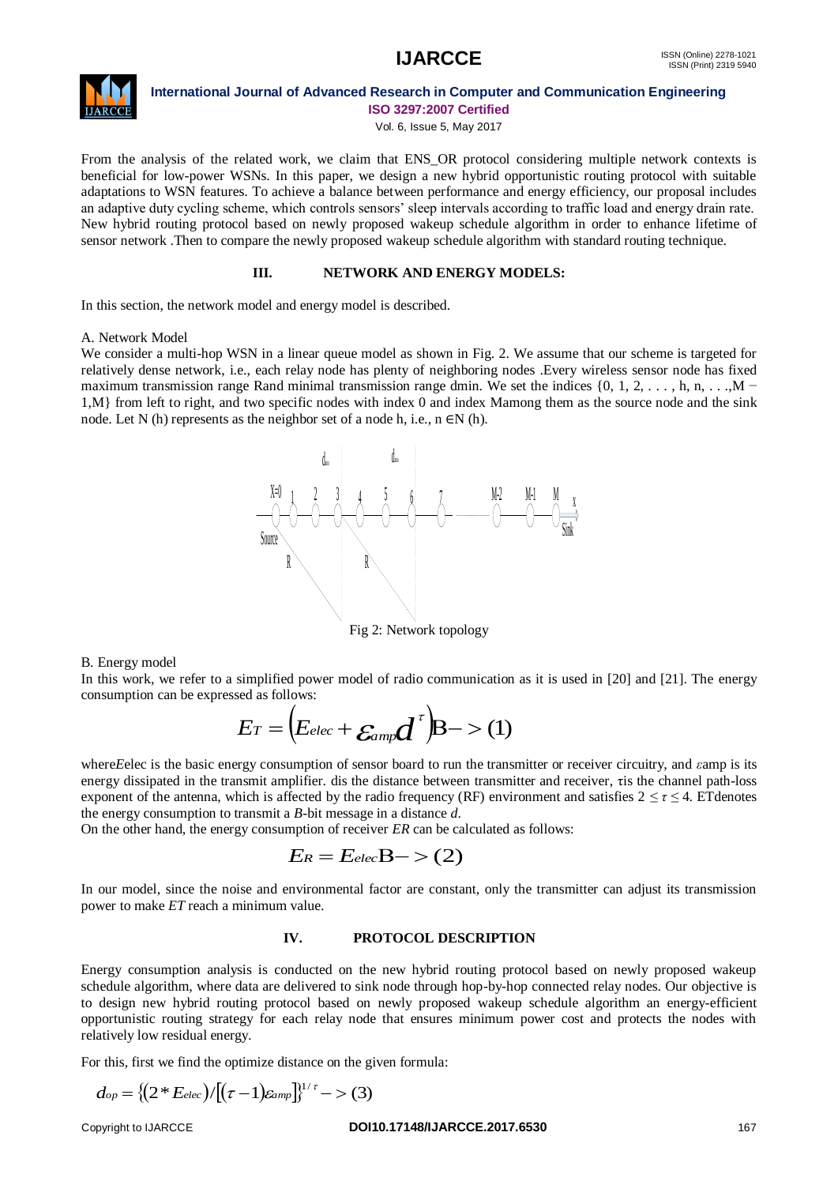

## **International Journal of Advanced Research in Computer and Communication Engineering**

**ISO 3297:2007 Certified**

Vol. 6, Issue 5, May 2017

From the analysis of the related work, we claim that ENS\_OR protocol considering multiple network contexts is beneficial for low-power WSNs. In this paper, we design a new hybrid opportunistic routing protocol with suitable adaptations to WSN features. To achieve a balance between performance and energy efficiency, our proposal includes an adaptive duty cycling scheme, which controls sensors' sleep intervals according to traffic load and energy drain rate. New hybrid routing protocol based on newly proposed wakeup schedule algorithm in order to enhance lifetime of sensor network .Then to compare the newly proposed wakeup schedule algorithm with standard routing technique.

#### **III. NETWORK AND ENERGY MODELS:**

In this section, the network model and energy model is described.

#### A. Network Model

We consider a multi-hop WSN in a linear queue model as shown in Fig. 2. We assume that our scheme is targeted for relatively dense network, i.e., each relay node has plenty of neighboring nodes .Every wireless sensor node has fixed maximum transmission range Rand minimal transmission range dmin. We set the indices  $\{0, 1, 2, \ldots, h, n, \ldots, M - \}$ 1,M} from left to right, and two specific nodes with index 0 and index Mamong them as the source node and the sink node. Let N (h) represents as the neighbor set of a node h, i.e.,  $n \in N$  (h).



Fig 2: Network topology

#### B. Energy model

In this work, we refer to a simplified power model of radio communication as it is used in [20] and [21]. The energy consumption can be expressed as follows:

$$
E_T = (E_{elec} + \varepsilon_{amp} d^{\tau})B - (1)
$$

where*E*elec is the basic energy consumption of sensor board to run the transmitter or receiver circuitry, and *ε*amp is its energy dissipated in the transmit amplifier. dis the distance between transmitter and receiver, τis the channel path-loss exponent of the antenna, which is affected by the radio frequency (RF) environment and satisfies  $2 \le \tau \le 4$ . ETdenotes the energy consumption to transmit a *B*-bit message in a distance *d*.

On the other hand, the energy consumption of receiver *ER* can be calculated as follows:

$$
E_R = E_{elec}B->(2)
$$

In our model, since the noise and environmental factor are constant, only the transmitter can adjust its transmission power to make *ET* reach a minimum value.

#### **IV. PROTOCOL DESCRIPTION**

Energy consumption analysis is conducted on the new hybrid routing protocol based on newly proposed wakeup schedule algorithm, where data are delivered to sink node through hop-by-hop connected relay nodes. Our objective is to design new hybrid routing protocol based on newly proposed wakeup schedule algorithm an energy-efficient opportunistic routing strategy for each relay node that ensures minimum power cost and protects the nodes with relatively low residual energy.

For this, first we find the optimize distance on the given formula:

$$
d_{op} = \{ (2 * E_{elec}) / [(\tau - 1) \varepsilon_{amp}] \}^{1/\tau} - > (3)
$$

#### Copyright to IJARCCE **DOI10.17148/IJARCCE.2017.6530** 167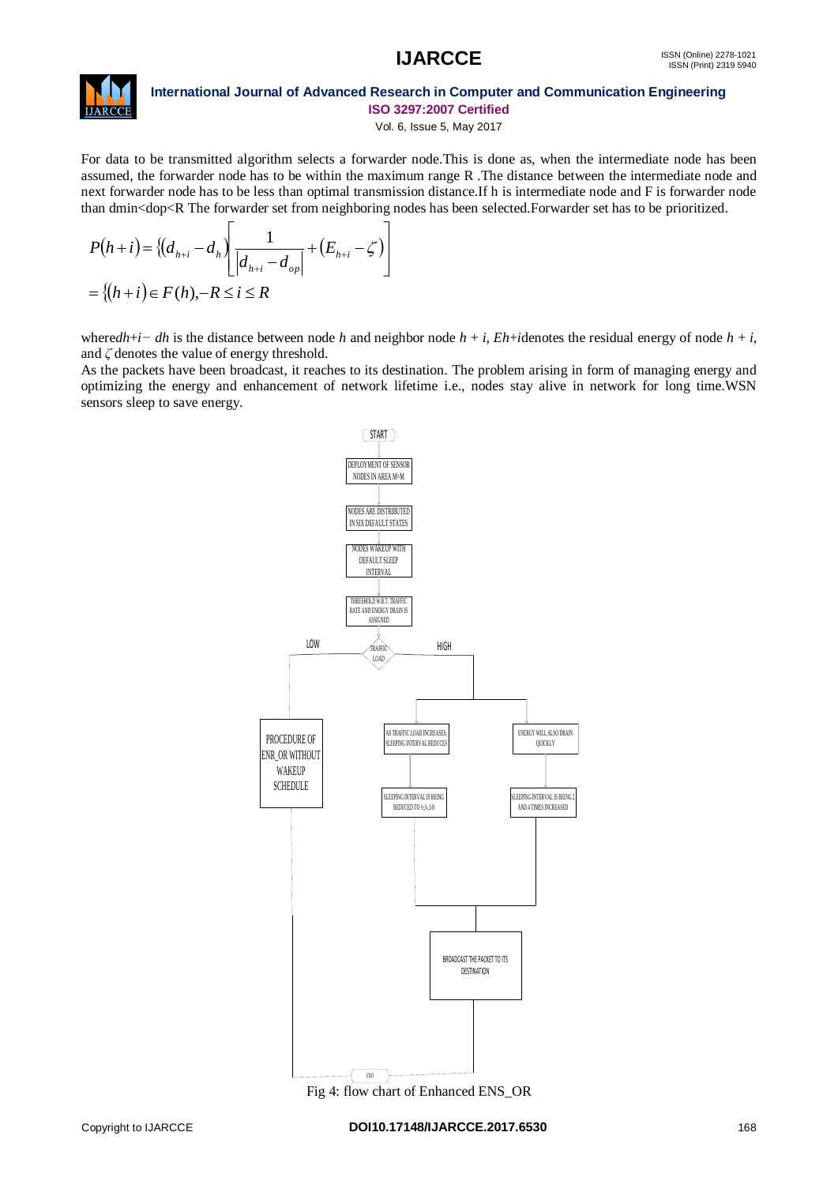# **IJARCCE** ISSN (Online) 2278-1021



#### **International Journal of Advanced Research in Computer and Communication Engineering ISO 3297:2007 Certified**

Vol. 6, Issue 5, May 2017

For data to be transmitted algorithm selects a forwarder node.This is done as, when the intermediate node has been assumed, the forwarder node has to be within the maximum range R .The distance between the intermediate node and next forwarder node has to be less than optimal transmission distance.If h is intermediate node and F is forwarder node than dmin<dop<R The forwarder set from neighboring nodes has been selected.Forwarder set has to be prioritized.

$$
P(h+i) = \{(d_{h+i} - d_h) \left[ \frac{1}{|d_{h+i} - d_{op}|} + (E_{h+i} - \zeta) \right]
$$
  
= \{(h+i) \in F(h), -R \le i \le R

where*dh*+*i*−*dh* is the distance between node *h* and neighbor node  $h + i$ ,  $Eh + i$  denotes the residual energy of node  $h + i$ , and *ζ* denotes the value of energy threshold.

As the packets have been broadcast, it reaches to its destination. The problem arising in form of managing energy and optimizing the energy and enhancement of network lifetime i.e., nodes stay alive in network for long time.WSN sensors sleep to save energy.



Fig 4: flow chart of Enhanced ENS OR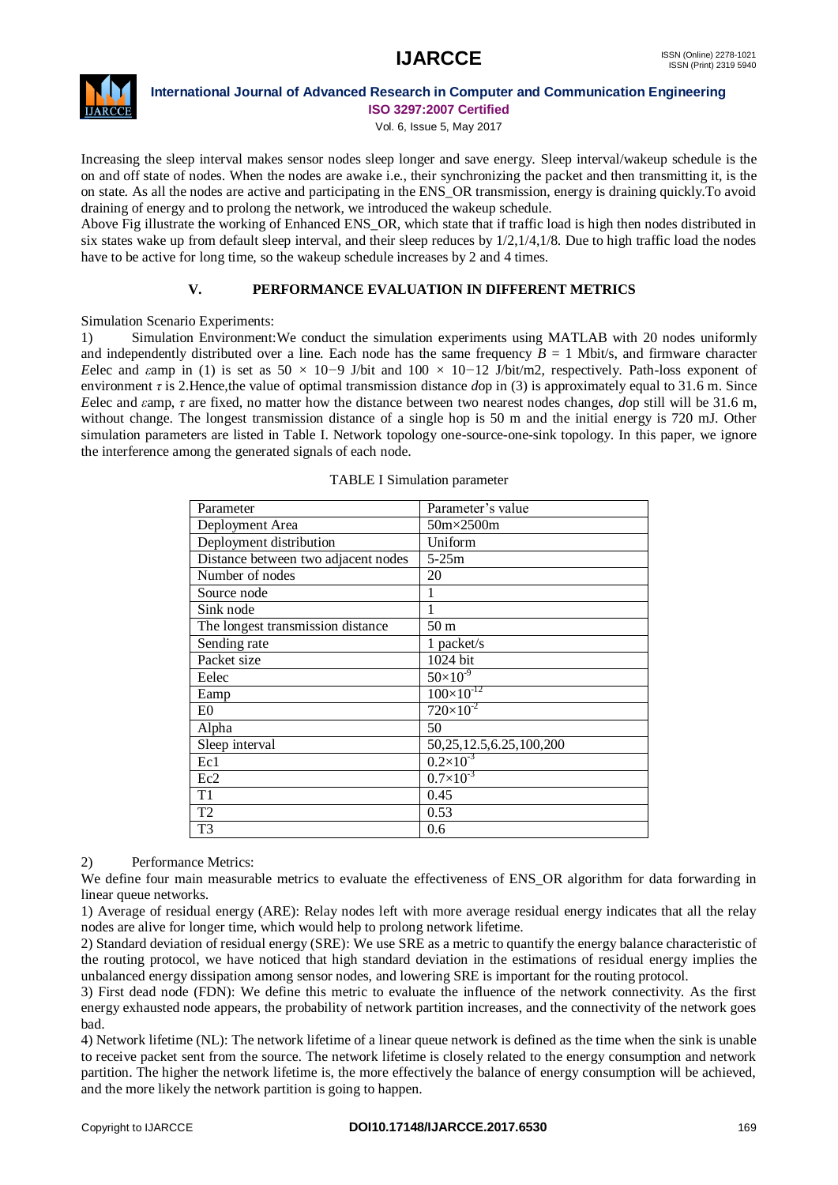

#### **International Journal of Advanced Research in Computer and Communication Engineering ISO 3297:2007 Certified**

Vol. 6, Issue 5, May 2017

Increasing the sleep interval makes sensor nodes sleep longer and save energy. Sleep interval/wakeup schedule is the on and off state of nodes. When the nodes are awake i.e., their synchronizing the packet and then transmitting it, is the on state. As all the nodes are active and participating in the ENS\_OR transmission, energy is draining quickly.To avoid draining of energy and to prolong the network, we introduced the wakeup schedule.

Above Fig illustrate the working of Enhanced ENS\_OR, which state that if traffic load is high then nodes distributed in six states wake up from default sleep interval, and their sleep reduces by 1/2,1/4,1/8. Due to high traffic load the nodes have to be active for long time, so the wakeup schedule increases by 2 and 4 times.

### **V. PERFORMANCE EVALUATION IN DIFFERENT METRICS**

Simulation Scenario Experiments:

1) Simulation Environment:We conduct the simulation experiments using MATLAB with 20 nodes uniformly and independently distributed over a line. Each node has the same frequency  $B = 1$  Mbit/s, and firmware character *E*elec and *ε*amp in (1) is set as 50 *×* 10*−*9 J/bit and 100 *×* 10*−*12 J/bit/m2, respectively. Path-loss exponent of environment *τ* is 2.Hence,the value of optimal transmission distance *d*op in (3) is approximately equal to 31*.*6 m. Since *E*elec and *ε*amp, *τ* are fixed, no matter how the distance between two nearest nodes changes, *d*op still will be 31.6 m, without change. The longest transmission distance of a single hop is 50 m and the initial energy is 720 mJ. Other simulation parameters are listed in Table I. Network topology one-source-one-sink topology. In this paper, we ignore the interference among the generated signals of each node.

| Parameter                           | Parameter's value            |
|-------------------------------------|------------------------------|
| Deployment Area                     | 50m×2500m                    |
| Deployment distribution             | Uniform                      |
| Distance between two adjacent nodes | $5-25m$                      |
| Number of nodes                     | 20                           |
| Source node                         |                              |
| Sink node                           |                              |
| The longest transmission distance   | 50 <sub>m</sub>              |
| Sending rate                        | 1 packet/s                   |
| Packet size                         | 1024 bit                     |
| Eelec                               | $50\times10^{-9}$            |
| Eamp                                | $100\times10^{-12}$          |
| E <sub>0</sub>                      | $720\times10^{-2}$           |
| Alpha                               | 50                           |
| Sleep interval                      | 50, 25, 12.5, 6.25, 100, 200 |
| Ec1                                 | $0.2\times10^{-3}$           |
| Ec2                                 | $0.7\times10^{-3}$           |
| T1                                  | 0.45                         |
| T2                                  | 0.53                         |
| T3                                  | 0.6                          |

#### TABLE I Simulation parameter

#### 2) Performance Metrics:

We define four main measurable metrics to evaluate the effectiveness of ENS\_OR algorithm for data forwarding in linear queue networks.

1) Average of residual energy (ARE): Relay nodes left with more average residual energy indicates that all the relay nodes are alive for longer time, which would help to prolong network lifetime.

2) Standard deviation of residual energy (SRE): We use SRE as a metric to quantify the energy balance characteristic of the routing protocol, we have noticed that high standard deviation in the estimations of residual energy implies the unbalanced energy dissipation among sensor nodes, and lowering SRE is important for the routing protocol.

3) First dead node (FDN): We define this metric to evaluate the influence of the network connectivity. As the first energy exhausted node appears, the probability of network partition increases, and the connectivity of the network goes bad.

4) Network lifetime (NL): The network lifetime of a linear queue network is defined as the time when the sink is unable to receive packet sent from the source. The network lifetime is closely related to the energy consumption and network partition. The higher the network lifetime is, the more effectively the balance of energy consumption will be achieved, and the more likely the network partition is going to happen.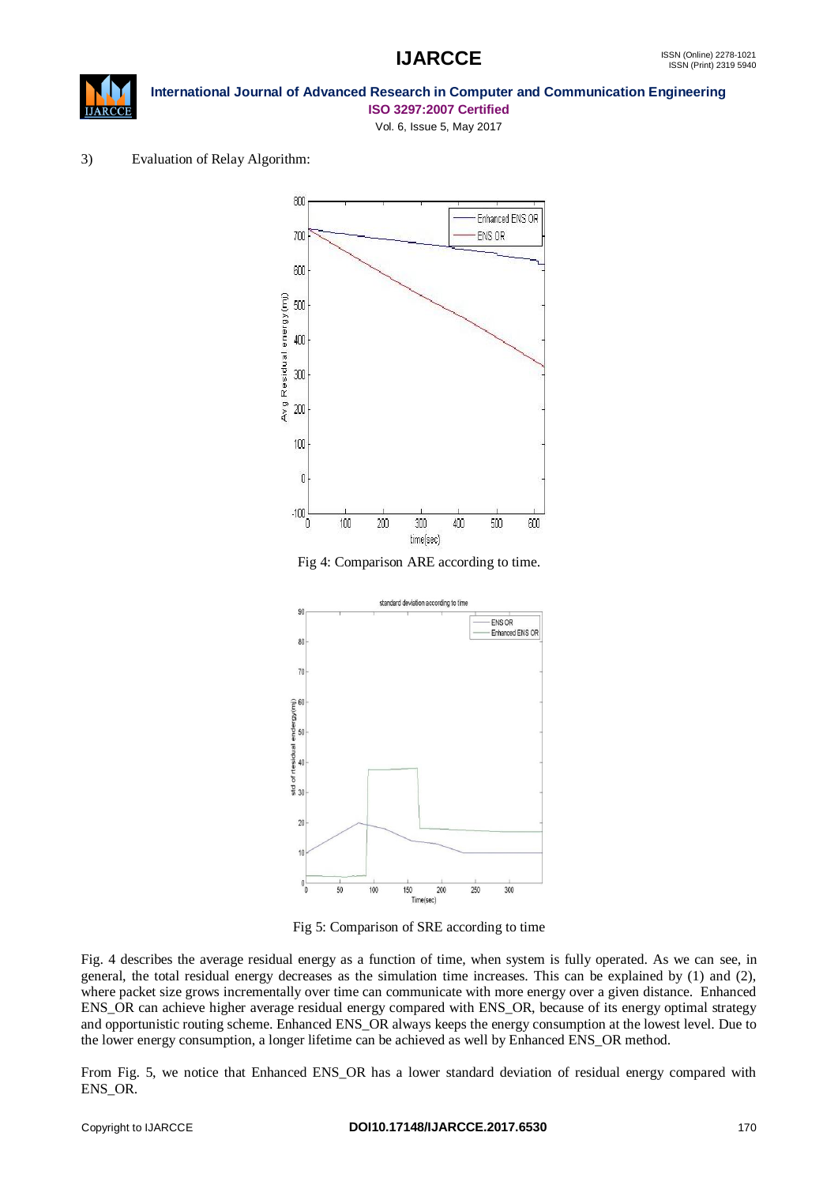



### **International Journal of Advanced Research in Computer and Communication Engineering ISO 3297:2007 Certified**

Vol. 6, Issue 5, May 2017

### 3) Evaluation of Relay Algorithm:



Fig 4: Comparison ARE according to time.



Fig 5: Comparison of SRE according to time

Fig. 4 describes the average residual energy as a function of time, when system is fully operated. As we can see, in general, the total residual energy decreases as the simulation time increases. This can be explained by (1) and (2), where packet size grows incrementally over time can communicate with more energy over a given distance. Enhanced ENS\_OR can achieve higher average residual energy compared with ENS\_OR, because of its energy optimal strategy and opportunistic routing scheme. Enhanced ENS\_OR always keeps the energy consumption at the lowest level. Due to the lower energy consumption, a longer lifetime can be achieved as well by Enhanced ENS\_OR method.

From Fig. 5, we notice that Enhanced ENS\_OR has a lower standard deviation of residual energy compared with ENS\_OR.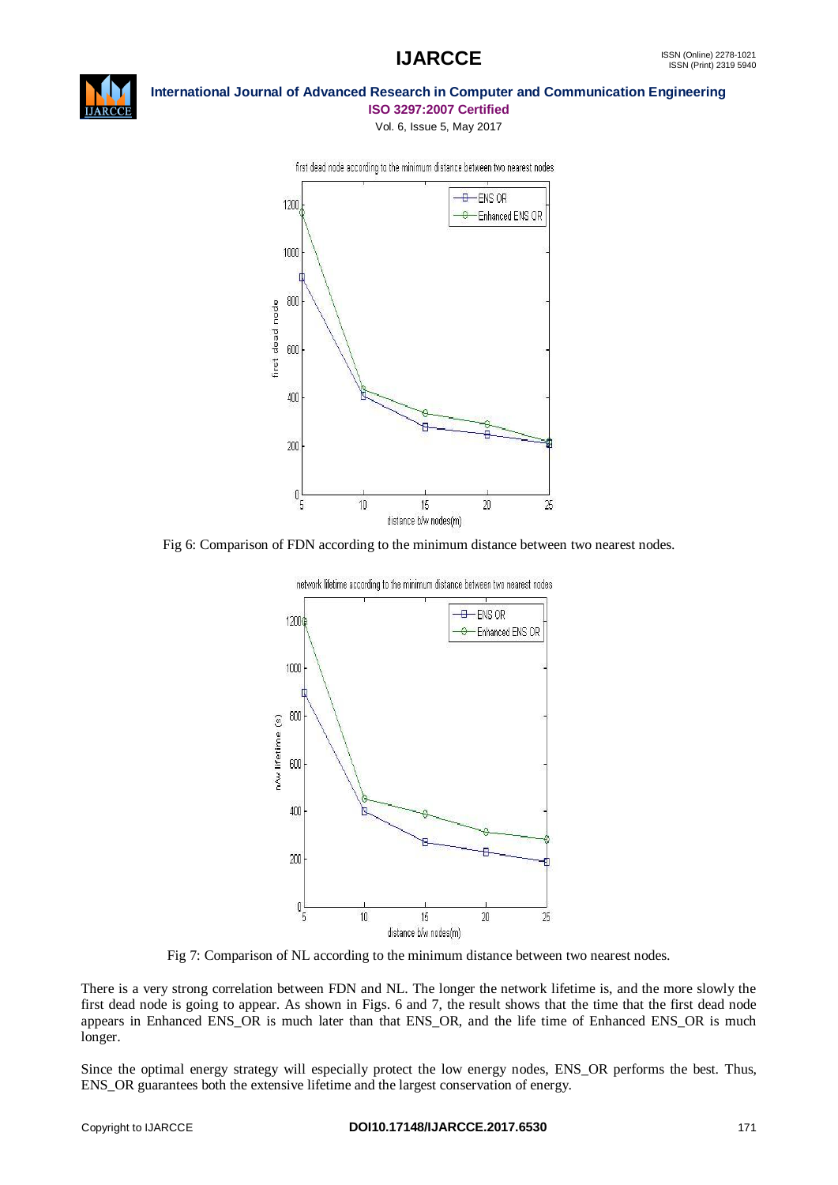



#### **International Journal of Advanced Research in Computer and Communication Engineering ISO 3297:2007 Certified**

Vol. 6, Issue 5, May 2017



first dead node according to the minimum distance between two nearest nodes





Fig 7: Comparison of NL according to the minimum distance between two nearest nodes.

There is a very strong correlation between FDN and NL. The longer the network lifetime is, and the more slowly the first dead node is going to appear. As shown in Figs. 6 and 7, the result shows that the time that the first dead node appears in Enhanced ENS\_OR is much later than that ENS\_OR, and the life time of Enhanced ENS\_OR is much longer.

Since the optimal energy strategy will especially protect the low energy nodes, ENS\_OR performs the best. Thus, ENS\_OR guarantees both the extensive lifetime and the largest conservation of energy.